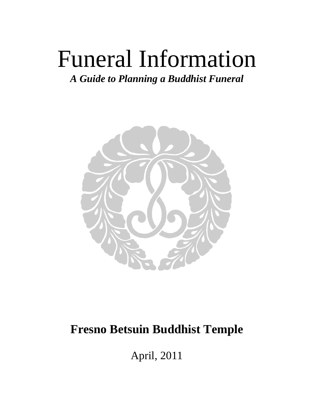# Funeral Information

*A Guide to Planning a Buddhist Funeral*



# **Fresno Betsuin Buddhist Temple**

April, 2011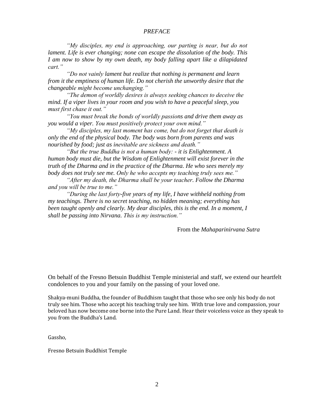#### *PREFACE*

*"My disciples, my end is approaching, our parting is near, but do not lament. Life is ever changing; none can escape the dissolution of the body. This I am now to show by my own death, my body falling apart like a dilapidated cart."*

*"Do not vainly lament but realize that nothing is permanent and learn from it the emptiness of human life. Do not cherish the unworthy desire that the changeable might become unchanging."*

*"The demon of worldly desires is always seeking chances to deceive the mind. If a viper lives in your room and you wish to have a peaceful sleep, you must first chase it out."*

*"You must break the bonds of worldly passions and drive them away as you would a viper. You must positively protect your own mind."*

*"My disciples, my last moment has come, but do not forget that death is only the end of the physical body. The body was born from parents and was nourished by food; just as inevitable are sickness and death."*

*"But the true Buddha is not a human body: - it is Enlightenment. A human body must die, but the Wisdom of Enlightenment will exist forever in the truth of the Dharma and in the practice of the Dharma. He who sees merely my body does not truly see me. Only he who accepts my teaching truly sees me."*

*"After my death, the Dharma shall be your teacher. Follow the Dharma and you will be true to me."*

*"During the last forty-five years of my life, I have withheld nothing from my teachings. There is no secret teaching, no hidden meaning; everything has been taught openly and clearly. My dear disciples, this is the end. In a moment, I shall be passing into Nirvana. This is my instruction."*

From the *Mahaparinirvana Sutra*

On behalf of the Fresno Betsuin Buddhist Temple ministerial and staff, we extend our heartfelt condolences to you and your family on the passing of your loved one.

Shakya-muni Buddha, the founder of Buddhism taught that those who see only his body do not truly see him. Those who accept his teaching truly see him. With true love and compassion, your beloved has now become one borne into the Pure Land. Hear their voiceless voice as they speak to you from the Buddha's Land.

Gassho,

Fresno Betsuin Buddhist Temple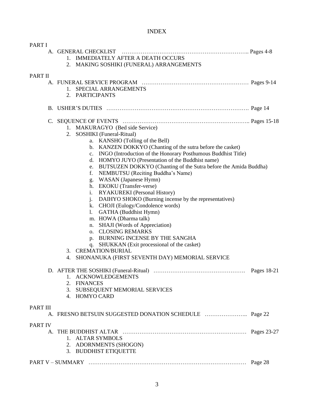# INDEX

| PART I          |                                                                                                                                                                                                                                                                                                                                                                                                                                                                                                                                                                                                                                                                                                                                                                                                                                                                                                        |  |
|-----------------|--------------------------------------------------------------------------------------------------------------------------------------------------------------------------------------------------------------------------------------------------------------------------------------------------------------------------------------------------------------------------------------------------------------------------------------------------------------------------------------------------------------------------------------------------------------------------------------------------------------------------------------------------------------------------------------------------------------------------------------------------------------------------------------------------------------------------------------------------------------------------------------------------------|--|
|                 | 1. IMMEDIATELY AFTER A DEATH OCCURS<br>2. MAKING SOSHIKI (FUNERAL) ARRANGEMENTS                                                                                                                                                                                                                                                                                                                                                                                                                                                                                                                                                                                                                                                                                                                                                                                                                        |  |
| <b>PART II</b>  | 1. SPECIAL ARRANGEMENTS<br>2. PARTICIPANTS                                                                                                                                                                                                                                                                                                                                                                                                                                                                                                                                                                                                                                                                                                                                                                                                                                                             |  |
|                 |                                                                                                                                                                                                                                                                                                                                                                                                                                                                                                                                                                                                                                                                                                                                                                                                                                                                                                        |  |
|                 | 1. MAKURAGYO (Bed side Service)<br>2. SOSHIKI (Funeral-Ritual)<br>a. KANSHO (Tolling of the Bell)<br>b. KANZEN DOKKYO (Chanting of the sutra before the casket)<br>c. INGO (Introduction of the Honorary Posthumous Buddhist Title)<br>d. HOMYO JUYO (Presentation of the Buddhist name)<br>e. BUTSUZEN DOKKYO (Chanting of the Sutra before the Amida Buddha)<br>NEMBUTSU (Reciting Buddha's Name)<br>f.<br><b>WASAN</b> (Japanese Hymn)<br>g.<br>h. EKOKU (Transfer-verse)<br>i. RYAKUREKI (Personal History)<br>DAIHYO SHOKO (Burning incense by the representatives)<br>j.<br>k. CHOJI (Eulogy/Condolence words)<br>1. GATHA (Buddhist Hymn)<br>m. HOWA (Dharma talk)<br>n. SHAJI (Words of Appreciation)<br>o. CLOSING REMARKS<br>p. BURNING INCENSE BY THE SANGHA<br>q. SHUKKAN (Exit processional of the casket)<br>3. CREMATION/BURIAL<br>SHONANUKA (FIRST SEVENTH DAY) MEMORIAL SERVICE<br>4. |  |
|                 | 1. ACKNOWLEDGEMENTS<br>2. FINANCES<br>3. SUBSEQUENT MEMORIAL SERVICES<br>4. HOMYO CARD                                                                                                                                                                                                                                                                                                                                                                                                                                                                                                                                                                                                                                                                                                                                                                                                                 |  |
| <b>PART III</b> |                                                                                                                                                                                                                                                                                                                                                                                                                                                                                                                                                                                                                                                                                                                                                                                                                                                                                                        |  |
| <b>PART IV</b>  | 1. ALTAR SYMBOLS<br>2. ADORNMENTS (SHOGON)<br>3. BUDDHIST ETIQUETTE                                                                                                                                                                                                                                                                                                                                                                                                                                                                                                                                                                                                                                                                                                                                                                                                                                    |  |
|                 |                                                                                                                                                                                                                                                                                                                                                                                                                                                                                                                                                                                                                                                                                                                                                                                                                                                                                                        |  |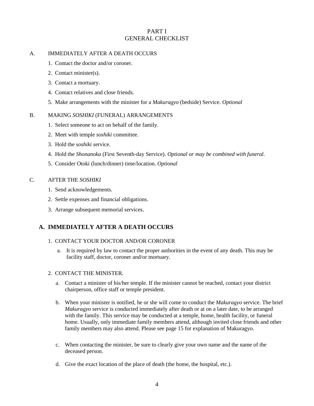# PART I GENERAL CHECKLIST

# A. IMMEDIATELY AFTER A DEATH OCCURS

- 1. Contact the doctor and/or coroner.
- 2. Contact minister(s).
- 3. Contact a mortuary.
- 4. Contact relatives and close friends.
- 5. Make arrangements with the minister for a *Makuragyo* (bedside) Service. *Optional*

# B. MAKING *SOSHIKI* (FUNERAL) ARRANGEMENTS

- 1. Select someone to act on behalf of the family.
- 2. Meet with temple *soshiki* committee.
- 3. Hold the s*oshiki s*ervice.
- 4. Hold the *Shonanoka* (First Seventh-day Service). *Optional or may be combined with funeral.*
- 5. Consider Otoki (lunch/dinner) time/location. *Optional*

#### C. AFTER THE *SOSHIKI*

- 1. Send acknowledgements.
- 2. Settle expenses and financial obligations.
- 3. Arrange subsequent memorial services.

# **A. IMMEDIATELY AFTER A DEATH OCCURS**

# 1. CONTACT YOUR DOCTOR AND/OR CORONER

a. It is required by law to contact the proper authorities in the event of any death. This may be facility staff, doctor, coroner and/or mortuary.

#### 2. CONTACT THE MINISTER.

- a. Contact a minister of his/her temple. If the minister cannot be reached, contact your district chairperson, office staff or temple president.
- b. When your minister is notified, he or she will come to conduct the *Makuragyo* service. The brief *Makuragyo* service is conducted immediately after death or at on a later date, to be arranged with the family. This service may be conducted at a temple, home, health facility, or funeral home. Usually, only immediate family members attend, although invited close friends and other family members may also attend. Please see page 15 for explanation of Makuragyo.
- c. When contacting the minister, be sure to clearly give your own name and the name of the deceased person.
- d. Give the exact location of the place of death (the home, the hospital, etc.).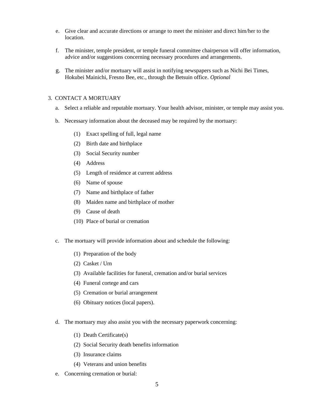- e. Give clear and accurate directions or arrange to meet the minister and direct him/her to the location.
- f. The minister, temple president, or temple funeral committee chairperson will offer information, advice and/or suggestions concerning necessary procedures and arrangements.
- g. The minister and/or mortuary will assist in notifying newspapers such as Nichi Bei Times, Hokubei Mainichi, Fresno Bee, etc., through the Betsuin office. *Optional*

#### 3. CONTACT A MORTUARY

- a. Select a reliable and reputable mortuary. Your health advisor, minister, or temple may assist you.
- b. Necessary information about the deceased may be required by the mortuary:
	- (1) Exact spelling of full, legal name
	- (2) Birth date and birthplace
	- (3) Social Security number
	- (4) Address
	- (5) Length of residence at current address
	- (6) Name of spouse
	- (7) Name and birthplace of father
	- (8) Maiden name and birthplace of mother
	- (9) Cause of death
	- (10) Place of burial or cremation
- c. The mortuary will provide information about and schedule the following:
	- (1) Preparation of the body
	- (2) Casket / Urn
	- (3) Available facilities for funeral, cremation and/or burial services
	- (4) Funeral cortege and cars
	- (5) Cremation or burial arrangement
	- (6) Obituary notices (local papers).
- d. The mortuary may also assist you with the necessary paperwork concerning:
	- (1) Death Certificate(s)
	- (2) Social Security death benefits information
	- (3) Insurance claims
	- (4) Veterans and union benefits
- e. Concerning cremation or burial: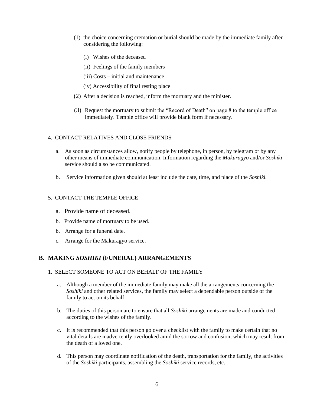- (1) the choice concerning cremation or burial should be made by the immediate family after considering the following:
	- (i) Wishes of the deceased
	- (ii) Feelings of the family members
	- (iii) Costs initial and maintenance
	- (iv) Accessibility of final resting place
- (2) After a decision is reached, inform the mortuary and the minister.
- (3) Request the mortuary to submit the "Record of Death" on page 8 to the temple office immediately. Temple office will provide blank form if necessary.

#### 4. CONTACT RELATIVES AND CLOSE FRIENDS

- a. As soon as circumstances allow, notify people by telephone, in person, by telegram or by any other means of immediate communication. Information regarding the *Makuragyo* and/or *Soshiki*  service should also be communicated.
- b. Service information given should at least include the date, time, and place of the *Soshiki.*

#### 5. CONTACT THE TEMPLE OFFICE

- a. Provide name of deceased.
- b. Provide name of mortuary to be used.
- b. Arrange for a funeral date.
- c. Arrange for the Makuragyo service.

# **B. MAKING** *SOSHIKI* **(FUNERAL) ARRANGEMENTS**

#### 1. SELECT SOMEONE TO ACT ON BEHALF OF THE FAMILY

- a. Although a member of the immediate family may make all the arrangements concerning the *Soshiki* and other related services, the family may select a dependable person outside of the family to act on its behalf.
- b. The duties of this person are to ensure that all *Soshiki* arrangements are made and conducted according to the wishes of the family.
- c. It is recommended that this person go over a checklist with the family to make certain that no vital details are inadvertently overlooked amid the sorrow and confusion, which may result from the death of a loved one.
- d. This person may coordinate notification of the death, transportation for the family, the activities of the *Soshiki* participants, assembling the *Soshiki* service records, etc.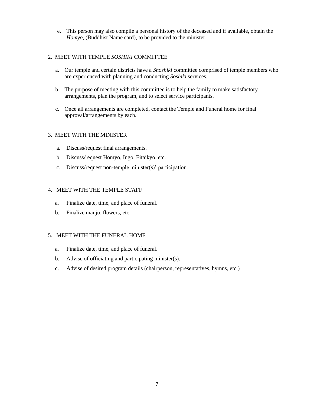e. This person may also compile a personal history of the deceased and if available, obtain the *Homyo*, (Buddhist Name card), to be provided to the minister.

# 2. MEET WITH TEMPLE *SOSHIKI* COMMITTEE

- a. Our temple and certain districts have a *Shoshiki* committee comprised of temple members who are experienced with planning and conducting *Soshiki* services.
- b. The purpose of meeting with this committee is to help the family to make satisfactory arrangements, plan the program, and to select service participants.
- c. Once all arrangements are completed, contact the Temple and Funeral home for final approval/arrangements by each.

# 3. MEET WITH THE MINISTER

- a. Discuss/request final arrangements.
- b. Discuss/request Homyo, Ingo, Eitaikyo, etc.
- c. Discuss/request non-temple minister(s)' participation.

# 4. MEET WITH THE TEMPLE STAFF

- a. Finalize date, time, and place of funeral.
- b. Finalize manju, flowers, etc.

#### 5. MEET WITH THE FUNERAL HOME

- a. Finalize date, time, and place of funeral.
- b. Advise of officiating and participating minister(s).
- c. Advise of desired program details (chairperson, representatives, hymns, etc.)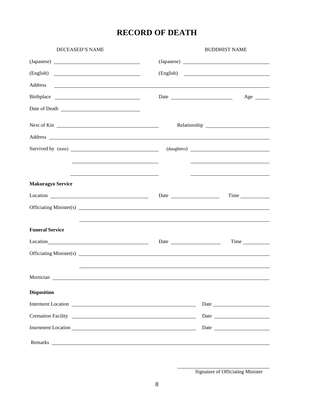# **RECORD OF DEATH**

| <b>DECEASED'S NAME</b>                                                                                                                                                                                                        | <b>BUDDHIST NAME</b> |                     |  |
|-------------------------------------------------------------------------------------------------------------------------------------------------------------------------------------------------------------------------------|----------------------|---------------------|--|
|                                                                                                                                                                                                                               |                      |                     |  |
|                                                                                                                                                                                                                               |                      |                     |  |
| Address<br><u> Alexandro de la contrada de la contrada de la contrada de la contrada de la contrada de la contrada de la co</u>                                                                                               |                      |                     |  |
|                                                                                                                                                                                                                               |                      | Age $\_\_\_\_\_\_\$ |  |
| Date of Death                                                                                                                                                                                                                 |                      |                     |  |
|                                                                                                                                                                                                                               |                      |                     |  |
|                                                                                                                                                                                                                               |                      |                     |  |
|                                                                                                                                                                                                                               |                      |                     |  |
|                                                                                                                                                                                                                               |                      |                     |  |
|                                                                                                                                                                                                                               |                      |                     |  |
| <b>Makuragyo Service</b>                                                                                                                                                                                                      |                      |                     |  |
|                                                                                                                                                                                                                               |                      | Time                |  |
|                                                                                                                                                                                                                               |                      |                     |  |
|                                                                                                                                                                                                                               |                      |                     |  |
| <b>Funeral Service</b>                                                                                                                                                                                                        |                      |                     |  |
|                                                                                                                                                                                                                               |                      | Time                |  |
|                                                                                                                                                                                                                               |                      |                     |  |
|                                                                                                                                                                                                                               |                      |                     |  |
| Mortician<br><u> 1980 - Antonio Alemania, presidente de la conte</u>                                                                                                                                                          |                      |                     |  |
| <b>Disposition</b>                                                                                                                                                                                                            |                      |                     |  |
| Interment Location <b>Executive Services</b>                                                                                                                                                                                  |                      | Date                |  |
| Cremation Facility <u>Cremation Communication</u>                                                                                                                                                                             |                      |                     |  |
| Inurnment Location<br><u>Example 2014</u>                                                                                                                                                                                     |                      |                     |  |
| Remarks Land and the state of the state of the state of the state of the state of the state of the state of the state of the state of the state of the state of the state of the state of the state of the state of the state |                      |                     |  |

Signature of Officiating Minister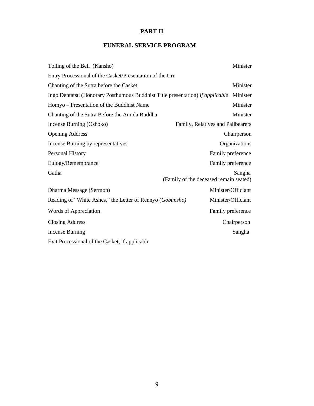# **PART II**

# **FUNERAL SERVICE PROGRAM**

| Tolling of the Bell (Kansho)                                                  | Minister           |
|-------------------------------------------------------------------------------|--------------------|
| Entry Processional of the Casket/Presentation of the Urn                      |                    |
| Chanting of the Sutra before the Casket                                       | Minister           |
| Ingo Dentatsu (Honorary Posthumous Buddhist Title presentation) if applicable | Minister           |
| Homyo – Presentation of the Buddhist Name                                     | Minister           |
| Chanting of the Sutra Before the Amida Buddha                                 | Minister           |
| Incense Burning (Oshoko)<br>Family, Relatives and Pallbearers                 |                    |
| <b>Opening Address</b>                                                        | Chairperson        |
| Incense Burning by representatives                                            | Organizations      |
| Personal History                                                              | Family preference  |
| Eulogy/Remembrance                                                            | Family preference  |
| Gatha<br>(Family of the deceased remain seated)                               | Sangha             |
| Dharma Message (Sermon)                                                       | Minister/Officiant |
| Reading of "White Ashes," the Letter of Rennyo (Gobunsho)                     | Minister/Officiant |
| Words of Appreciation                                                         | Family preference  |
| <b>Closing Address</b>                                                        | Chairperson        |
| <b>Incense Burning</b>                                                        | Sangha             |
| Exit Processional of the Casket, if applicable                                |                    |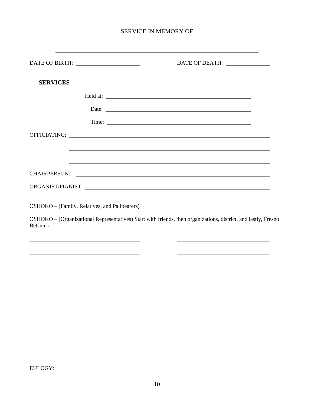# SERVICE IN MEMORY OF

|                                                           | DATE OF DEATH: _______________                                                                                 |
|-----------------------------------------------------------|----------------------------------------------------------------------------------------------------------------|
| <b>SERVICES</b>                                           |                                                                                                                |
|                                                           |                                                                                                                |
|                                                           |                                                                                                                |
|                                                           |                                                                                                                |
|                                                           |                                                                                                                |
|                                                           | ,我们也不会有一个人的人,我们也不会有一个人的人,我们也不会有一个人的人。""我们,我们也不会有一个人的人,我们也不会有一个人的人。""我们,我们也不会有一个人                               |
|                                                           |                                                                                                                |
| <b>CHAIRPERSON:</b>                                       | <u> 1980 - Johann Barnett, fransk politik (d. 1980)</u>                                                        |
|                                                           |                                                                                                                |
|                                                           | OSHOKO - (Organizational Representatives) Start with friends, then organizations, district, and lastly, Fresno |
|                                                           |                                                                                                                |
|                                                           |                                                                                                                |
|                                                           |                                                                                                                |
|                                                           |                                                                                                                |
|                                                           |                                                                                                                |
|                                                           |                                                                                                                |
|                                                           |                                                                                                                |
| OSHOKO - (Family, Relatives, and Pallbearers)<br>Betsuin) |                                                                                                                |
|                                                           |                                                                                                                |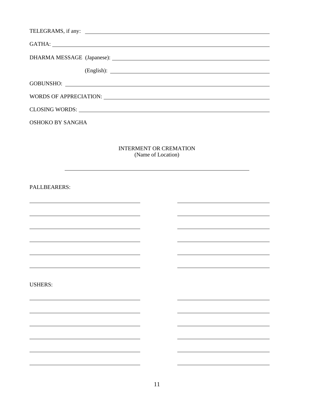| WORDS OF APPRECIATION: University of the contract of the contract of the contract of the contract of the contract of the contract of the contract of the contract of the contract of the contract of the contract of the contr |                                                     |  |
|--------------------------------------------------------------------------------------------------------------------------------------------------------------------------------------------------------------------------------|-----------------------------------------------------|--|
| CLOSING WORDS: University of the Second Second Second Second Second Second Second Second Second Second Second Second Second Second Second Second Second Second Second Second Second Second Second Second Second Second Second  |                                                     |  |
| <b>OSHOKO BY SANGHA</b>                                                                                                                                                                                                        |                                                     |  |
|                                                                                                                                                                                                                                | <b>INTERMENT OR CREMATION</b><br>(Name of Location) |  |
| PALLBEARERS:                                                                                                                                                                                                                   |                                                     |  |
|                                                                                                                                                                                                                                |                                                     |  |
|                                                                                                                                                                                                                                |                                                     |  |
|                                                                                                                                                                                                                                |                                                     |  |

 $\overline{\phantom{0}}$ 

L,

 $\overline{\phantom{0}}$ 

 $\overline{\phantom{a}}$ 

 $\overline{\phantom{a}}$ 

<u> 1989 - Johann Barn, amerikansk politiker (d. 1989)</u>

<u> Andreas Andreas Andreas Andreas Andreas Andreas Andreas Andreas Andreas Andreas Andreas Andreas Andreas Andre</u>

USHERS: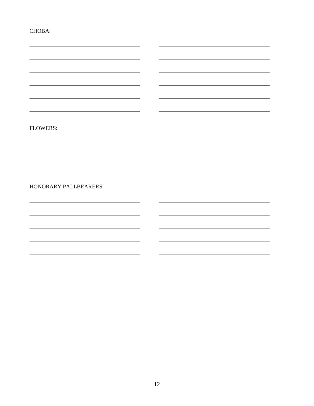# CHOBA:

FLOWERS:

HONORARY PALLBEARERS:

<u> 1989 - Johann Barn, mars ar breithinn ar breithinn ar breithinn ar breithinn ar breithinn ar breithinn ar br</u>

<u> 1989 - Johann Barbara, martxa alemaniar arg</u>

<u> 1989 - Johann Stein, mars an de Britannich (b. 1989)</u>

<u> 1989 - Johann Barn, mars eta bainar eta baina eta baina eta baina eta baina eta baina eta baina eta baina e</u>

 $\sim$ 

 $\overline{\phantom{a}}$ 

 $\overline{\phantom{a}}$ 

 $\overline{\phantom{a}}$ 

<u> Andreas Andreas Andreas Andreas Andreas Andreas Andreas Andreas Andreas Andreas Andreas Andreas Andreas Andreas Andreas Andreas Andreas Andreas Andreas Andreas Andreas Andreas Andreas Andreas Andreas Andreas Andreas Andr</u>

 $\sim$ 

 $\mathbb{R}^2$ 

 $\mathbb{R}^2$ 

 $\overline{\phantom{a}}$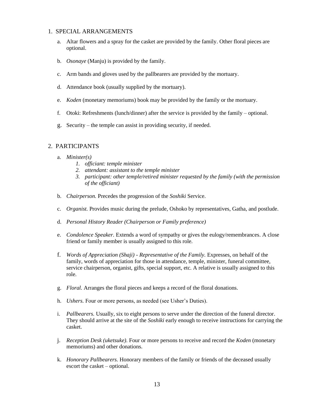#### 1. SPECIAL ARRANGEMENTS

- a. Altar flowers and a spray for the casket are provided by the family. Other floral pieces are optional.
- b. *Osonaye* (Manju) is provided by the family.
- c. Arm bands and gloves used by the pallbearers are provided by the mortuary.
- d. Attendance book (usually supplied by the mortuary).
- e. *Koden* (monetary memoriums) book may be provided by the family or the mortuary.
- f. Otoki: Refreshments (lunch/dinner) after the service is provided by the family optional.
- g. Security the temple can assist in providing security, if needed.

#### 2. PARTICIPANTS

- a. *Minister(s)*
	- *1. officiant: temple minister*
	- *2. attendant: assistant to the temple minister*
	- *3. participant: other temple/retired minister requested by the family (with the permission of the officiant)*
- b. *Chairperson.* Precedes the progression of the *Soshiki* Service.
- c. *Organist.* Provides music during the prelude, Oshoko by representatives, Gatha, and postlude.
- d. *Personal History Reader (Chairperson or Family preference)*
- e. *Condolence Speaker.* Extends a word of sympathy or gives the eulogy/remembrances. A close friend or family member is usually assigned to this role.
- f. *Words of Appreciation (Shaji) - Representative of the Family.* Expresses, on behalf of the family, words of appreciation for those in attendance, temple, minister, funeral committee, service chairperson, organist, gifts, special support, etc. A relative is usually assigned to this role.
- g. *Floral.* Arranges the floral pieces and keeps a record of the floral donations.
- h. *Ushers*. Four or more persons, as needed (see Usher's Duties).
- i. *Pallbearers.* Usually, six to eight persons to serve under the direction of the funeral director. They should arrive at the site of the *Soshiki* early enough to receive instructions for carrying the casket.
- j. *Reception Desk (uketsuke).* Four or more persons to receive and record the *Koden* (monetary memoriums) and other donations.
- k. *Honorary Pallbearers.* Honorary members of the family or friends of the deceased usually escort the casket – optional.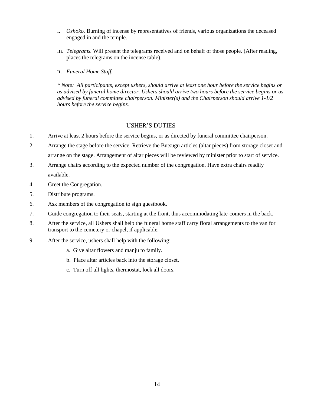- l. *Oshoko.* Burning of incense by representatives of friends, various organizations the deceased engaged in and the temple.
- m. *Telegrams.* Will present the telegrams received and on behalf of those people. (After reading, places the telegrams on the incense table).
- n. *Funeral Home Staff.*

*\* Note: All participants, except ushers, should arrive at least one hour before the service begins or as advised by funeral home director. Ushers should arrive two hours before the service begins or as advised by funeral committee chairperson. Minister(s) and the Chairperson should arrive 1-1/2 hours before the service begins.*

# USHER'S DUTIES

- 1. Arrive at least 2 hours before the service begins, or as directed by funeral committee chairperson.
- 2. Arrange the stage before the service. Retrieve the Butsugu articles (altar pieces) from storage closet and arrange on the stage. Arrangement of altar pieces will be reviewed by minister prior to start of service.
- 3. Arrange chairs according to the expected number of the congregation. Have extra chairs readily available.
- 4. Greet the Congregation.
- 5. Distribute programs.
- 6. Ask members of the congregation to sign guestbook.
- 7. Guide congregation to their seats, starting at the front, thus accommodating late-comers in the back.
- 8. After the service, all Ushers shall help the funeral home staff carry floral arrangements to the van for transport to the cemetery or chapel, if applicable.
- 9. After the service, ushers shall help with the following:
	- a. Give altar flowers and manju to family.
	- b. Place altar articles back into the storage closet.
	- c. Turn off all lights, thermostat, lock all doors.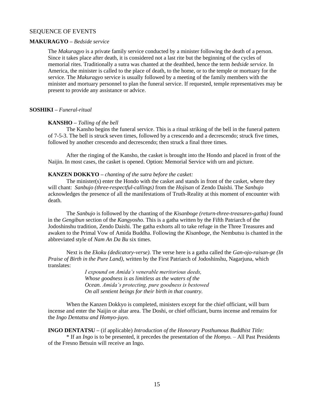#### SEQUENCE OF EVENTS

#### **MAKURAGYO –** *Bedside service*

The *Makuragyo* is a private family service conducted by a minister following the death of a person. Since it takes place after death, it is considered not a last rite but the beginning of the cycles of memorial rites. Traditionally a sutra was chanted at the deathbed, hence the term *bedside service.* In America, the minister is called to the place of death, to the home, or to the temple or mortuary for the service. The *Makuragyo* service is usually followed by a meeting of the family members with the minister and mortuary personnel to plan the funeral service. If requested, temple representatives may be present to provide any assistance or advice.

#### **SOSHIKI –** *Funeral-ritual*

#### **KANSHO –** *Tolling of the bell*

The Kansho begins the funeral service. This is a ritual striking of the bell in the funeral pattern of 7-5-3. The bell is struck seven times, followed by a crescendo and a decrescendo; struck five times, followed by another crescendo and decrescendo; then struck a final three times.

After the ringing of the Kansho, the casket is brought into the Hondo and placed in front of the Naijin. In most cases, the casket is opened. Option: Memorial Service with urn and picture.

#### **KANZEN DOKKYO –** *chanting of the sutra before the casket:*

The minister(s) enter the Hondo with the casket and stands in front of the casket, where they will chant: *Sanbujo (three-respectful-callings)* from the *Hojisan* of Zendo Daishi. The *Sanbujo* acknowledges the presence of all the manifestations of Truth-Reality at this moment of encounter with death.

The *Sanbujo* is followed by the chanting of the *Kisanboge (return-three-treasures-gatha)* found in the *Gengibun* section of the *Kangyosho.* This is a gatha written by the Fifth Patriarch of the Jodoshinshu tradition, Zendo Daishi. The gatha exhorts all to take refuge in the Three Treasures and awaken to the Primal Vow of Amida Buddha. Following the *Kisanboge,* the Nembutsu is chanted in the abbreviated style of *Nam An Da Bu* six times.

Next is the *Ekoku (dedicatory-verse).* The verse here is a gatha called the *Gan-ojo-raisan-ge (In Praise of Birth in the Pure Land),* written by the First Patriarch of Jodoshinshu, Nagarjuna, which translates:

> *I expound on Amida's venerable meritorious deeds, Whose goodness is as limitless as the waters of the Ocean. Amida's protecting, pure goodness is bestowed On all sentient beings for their birth in that country.*

When the Kanzen Dokkyo is completed, ministers except for the chief officiant, will burn incense and enter the Naijin or altar area. The Doshi, or chief officiant, burns incense and remains for the *Ingo Dentatsu and Homyo-juyo.*

**INGO DENTATSU –** (if applicable) *Introduction of the Honorary Posthumous Buddhist Title:* \* If an *Ingo* is to be presented, it precedes the presentation of the *Homyo. –* All Past Presidents of the Fresno Betsuin will receive an Ingo.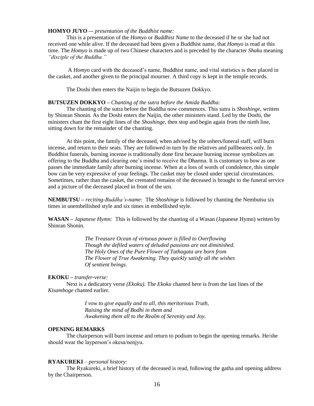#### **HOMYO JUYO –***- presentation of the Buddhist name:*

This is a presentation of the *Homyo* or *Buddhist Name* to the deceased if he or she had not received one while alive. If the deceased had been given a Buddhist name, that *Homyo* is read at this time. The *Homyo* is made up of two Chinese characters and is preceded by the character *Shaku* meaning *"disciple of the Buddha."* 

A *Homyo* card with the deceased's name, Buddhist name, and vital statistics is then placed in the casket, and another given to the principal mourner. A third copy is kept in the temple records.

The Doshi then enters the Naijin to begin the Butsuzen Dokkyo.

#### **BUTSUZEN DOKKYO –** *Chanting of the sutra before the Amida Buddha:*

The chanting of the sutra before the Buddha now commences. This sutra is *Shoshinge,* written by Shinran Shonin. As the Doshi enters the Naijin, the other ministers stand. Led by the Doshi, the ministers chant the first eight lines of the *Shoshinge,* then stop and begin again from the ninth line, sitting down for the remainder of the chanting.

At this point, the family of the deceased, when advised by the ushers/funeral staff, will burn incense, and return to their seats. They are followed in turn by the relatives and pallbearers only. In Buddhist funerals, burning incense is traditionally done first because burning incense symbolizes an offering to the Buddha and clearing one's mind to receive the Dharma. It is customary to bow as one passes the immediate family after burning incense. When at a loss of words of condolence, this simple bow can be very expressive of your feelings. The casket may be closed under special circumstances. Sometimes, rather than the casket, the cremated remains of the deceased is brought to the funeral service and a picture of the deceased placed in front of the urn.

**NEMBUTSU –** *reciting-Buddha's-name:* The *Shoshinge* is followed by chanting the Nembutsu six times in unembellished style and six times in embellished style.

**WASAN –** *Japanese Hymn:* This is followed by the chanting of a Wasan (Japanese Hymn) written by Shinran Shonin.

> *The Treasure Ocean of virtuous power is filled to Overflowing Though the defiled waters of deluded passions are not diminished. The Holy Ones of the Pure Flower of Tathagata are born from The Flower of True Awakening. They quickly satisfy all the wishes Of sentient beings.*

#### **EKOKU –** *transfer-verse:*

Next is a dedicatory verse *(Ekoku).* The *Ekoku* chanted here is from the last lines of the *Kisamboge* chanted earlier.

> *I vow to give equally and to all, this meritorious Truth, Raising the mind of Bodhi in them and Awakening them all to the Realm of Serenity and Joy.*

#### **OPENING REMARKS**

The chairperson will burn incense and return to podium to begin the opening remarks. He/she should wear the layperson's okesa/nenjyu.

#### **RYAKUREKI** – *personal history:*

The Ryakureki, a brief history of the deceased is read, following the gatha and opening address by the Chairperson.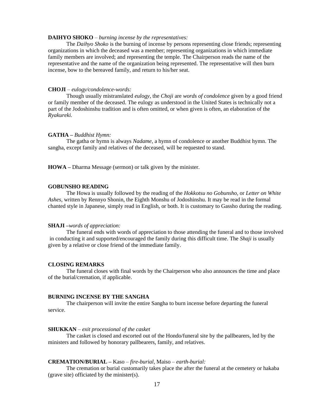#### **DAIHYO SHOKO** – *burning incense by the representatives:*

The *Daihyo Shoko* is the burning of incense by persons representing close friends; representing organizations in which the deceased was a member; representing organizations in which immediate family members are involved; and representing the temple. The Chairperson reads the name of the representative and the name of the organization being represented. The representative will then burn incense, bow to the bereaved family, and return to his/her seat.

#### **CHOJI** – *eulogy/condolence-words:*

Though usually mistranslated *eulogy,* the *Choji* are *words of condolence* given by a good friend or family member of the deceased. The eulogy as understood in the United States is technically not a part of the Jodoshinshu tradition and is often omitted, or when given is often, an elaboration of the *Ryakureki.*

#### **GATHA –** *Buddhist Hymn:*

The gatha or hymn is always *Nadame,* a hymn of condolence or another Buddhist hymn. The sangha, except family and relatives of the deceased, will be requested to stand.

**HOWA –** Dharma Message (sermon) or talk given by the minister.

#### **GOBUNSHO READING**

The Howa is usually followed by the reading of the *Hokkotsu no Gobunsho,* or *Letter on White Ashes,* written by Rennyo Shonin, the Eighth Monshu of Jodoshinshu. It may be read in the formal chanted style in Japanese, simply read in English, or both. It is customary to Gassho during the reading.

#### **SHAJI –***words of appreciation:*

The funeral ends with words of appreciation to those attending the funeral and to those involved in conducting it and supported/encouraged the family during this difficult time. The *Shaji* is usually given by a relative or close friend of the immediate family.

#### **CLOSING REMARKS**

The funeral closes with final words by the Chairperson who also announces the time and place of the burial/cremation, if applicable.

#### **BURNING INCENSE BY THE SANGHA**

The chairperson will invite the entire Sangha to burn incense before departing the funeral service.

#### **SHUKKAN** – *exit processional of the casket*

The casket is closed and escorted out of the Hondo/funeral site by the pallbearers, led by the ministers and followed by honorary pallbearers, family, and relatives.

#### **CREMATION/BURIAL –** Kaso – *fire-burial,* Maiso – *earth-burial:*

The cremation or burial customarily takes place the after the funeral at the cemetery or hakaba (grave site) officiated by the minister(s).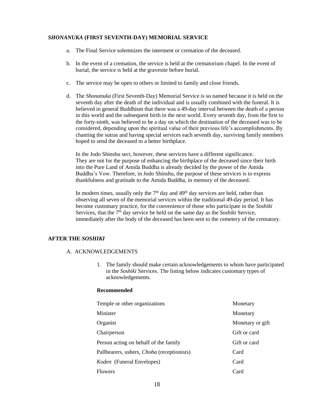#### *SHONANUKA* **(FIRST SEVENTH-DAY) MEMORIAL SERVICE**

- a. The Final Service solemnizes the interment or cremation of the deceased.
- b. In the event of a cremation, the service is held at the crematorium chapel. In the event of burial, the service is held at the gravesite before burial.
- c. The service may be open to others or limited to family and close friends.
- d. The *Shonanuka* (First Seventh-Day) Memorial Service is so named because it is held on the seventh day after the death of the individual and is usually combined with the funeral. It is believed in general Buddhism that there was a 49-day interval between the death of a person in this world and the subsequent birth in the next world. Every seventh day, from the first to the forty-ninth, was believed to be a day on which the destination of the deceased was to be considered, depending upon the spiritual value of their previous life's accomplishments. By chanting the sutras and having special services each seventh day, surviving family members hoped to send the deceased to a better birthplace.

In the Jodo Shinshu sect, however, these services have a different significance. They are not for the purpose of enhancing the birthplace of the deceased since their birth into the Pure Land of Amida Buddha is already decided by the power of the Amida Buddha's Vow. Therefore, in Jodo Shinshu, the purpose of these services is to express thankfulness and gratitude to the Amida Buddha, in memory of the deceased.

In modern times, usually only the  $7<sup>th</sup>$  day and  $49<sup>th</sup>$  day services are held, rather than observing all seven of the memorial services within the traditional 49-day period. It has become customary practice, for the convenience of those who participate in the *Soshiki*  Services, that the 7<sup>th</sup> day service be held on the same day as the *Soshiki* Service, immediately after the body of the deceased has been sent to the cemetery of the crematory.

#### **AFTER THE** *SOSHIKI*

#### A. ACKNOWLEDGEMENTS

1. The family should make certain acknowledgements to whom have participated in the *Soshiki* Services. The listing below indicates customary types of acknowledgements.

#### **Recommended**

| Monetary         |
|------------------|
| Monetary         |
| Monetary or gift |
| Gift or card     |
| Gift or card     |
| Card             |
| Card             |
| Card             |
|                  |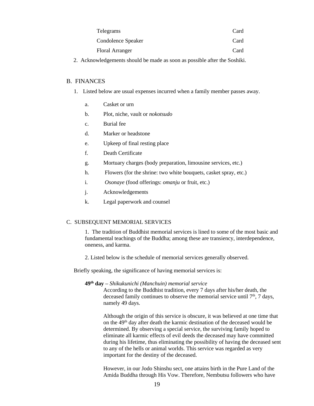| <b>Telegrams</b>       | Card |
|------------------------|------|
| Condolence Speaker     | Card |
| <b>Floral Arranger</b> | Card |

2. Acknowledgements should be made as soon as possible after the Soshiki.

# B. FINANCES

- 1. Listed below are usual expenses incurred when a family member passes away.
	- a. Casket or urn
	- b. Plot, niche, vault or *nokotsudo*
	- c. Burial fee
	- d. Marker or headstone
	- e. Upkeep of final resting place
	- f. Death Certificate
	- g. Mortuary charges (body preparation, limousine services, etc.)
	- h. Flowers (for the shrine: two white bouquets, casket spray, etc.)
	- i*. Osonaye* (food offerings: *omanju* or fruit, etc.)
	- j. Acknowledgements
	- k. Legal paperwork and counsel

#### C. SUBSEQUENT MEMORIAL SERVICES

1. The tradition of Buddhist memorial services is lined to some of the most basic and fundamental teachings of the Buddha; among these are transiency, interdependence, oneness, and karma.

2. Listed below is the schedule of memorial services generally observed.

Briefly speaking, the significance of having memorial services is:

#### **49th day –** *Shikukunichi (Manchuin) memorial service*

According to the Buddhist tradition, every 7 days after his/her death, the deceased family continues to observe the memorial service until  $7<sup>th</sup>$ ,  $7$  days, namely 49 days.

Although the origin of this service is obscure, it was believed at one time that on the 49<sup>th</sup> day after death the karmic destination of the deceased would be determined. By observing a special service, the surviving family hoped to eliminate all karmic effects of evil deeds the deceased may have committed during his lifetime, thus eliminating the possibility of having the deceased sent to any of the hells or animal worlds. This service was regarded as very important for the destiny of the deceased.

However, in our Jodo Shinshu sect, one attains birth in the Pure Land of the Amida Buddha through His Vow. Therefore, Nembutsu followers who have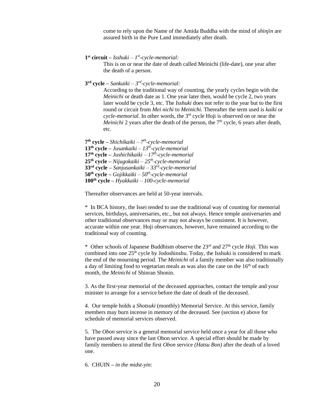come to rely upon the Name of the Amida Buddha with the mind of *shinjin* are assured birth in the Pure Land immediately after death.

**1 st circuit –** *Isshuki – 1 st -cycle-memorial:*

This is on or near the date of death called Meinichi (life-date), one year after the death of a person.

**3 rd cycle –** *Sankaiki – 3 rd -cycle-memorial:*

According to the traditional way of counting, the yearly cycles begin with the *Meinichi* or death date as 1. One year later then, would be cycle 2, two years later would be cycle 3, etc. The *Isshuki* does not refer to the year but to the first round or circuit from *Mei nichi* to *Meinichi.* Thereafter the term used is *kaiki* or *cycle-memorial.* In other words, the 3rd cycle Hoji is observed on or near the *Meinichi* 2 years after the death of the person, the 7<sup>th</sup> cycle, 6 years after death, etc.

 **th cycle –** *Shichikaiki – 7 th -cycle-memorial* **th cycle –** *Jusankaiki – 13th -cycle-memorial* **th cycle –** *Jushichikaiki – 17th -cycle-memorial* **th cycle –** *Nijugokaiki – 25th -cycle-memorial* **rd cycle –** *Sanjusankaiki – 33rd -cycle-memorial* **th cycle –** *Gojikkaiki – 50th -cycle-memorial* **th cycle –** *Hyakkaiki – 100-cycle-memorial*

Thereafter observances are held at 50-year intervals.

\* In BCA history, the Issei tended to use the traditional way of counting for memorial services, birthdays, anniversaries, etc., but not always. Hence temple anniversaries and other traditional observances may or may not always be consistent. It is however, accurate within one year. Hoji observances, however, have remained according to the traditional way of counting.

\* Other schools of Japanese Buddhism observe the 23rd and 27th cycle *Hoji.* This was combined into one  $25<sup>th</sup>$  cycle by Jodoshinshu. Today, the Isshuki is considered to mark the end of the mourning period. The *Meinichi* of a family member was also traditionally a day of limiting food to vegetarian meals as was also the case on the  $16<sup>th</sup>$  of each month, the *Meinichi* of Shinran Shonin.

3. As the first-year memorial of the deceased approaches, contact the temple and your minister to arrange for a service before the date of death of the deceased.

4. Our temple holds a *Shotsuki* (monthly) Memorial Service. At this service, family members may burn incense in memory of the deceased. See (section e) above for schedule of memorial services observed.

5. The *Obon* service is a general memorial service held once a year for all those who have passed away since the last Obon service. A special effort should be made by family members to attend the first *Obon* service *(Hatsu Bon)* after the death of a loved one.

6. CHUIN **–** *in the midst-yin:*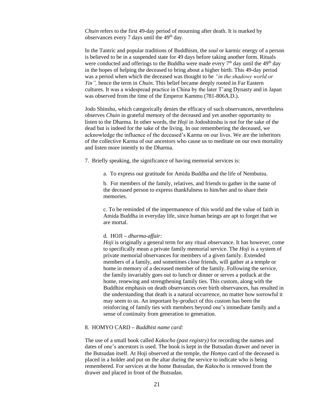*Chuin* refers to the first 49-day period of mourning after death. It is marked by observances every 7 days until the  $49<sup>th</sup>$  day.

In the Tantric and popular traditions of Buddhism, the *soul* or karmic energy of a person is believed to be in a suspended state for 49 days before taking another form. Rituals were conducted and offerings to the Buddha were made every  $7<sup>th</sup>$  day until the 49<sup>th</sup> day in the hopes of helping the deceased to bring about a higher birth. This 49-day period was a period when which the deceased was thought to be *"in the shadowy world or Yin",* hence the term in *Chuin.* This belief became deeply rooted in Far Eastern cultures. It was a widespread practice in China by the later T'ang Dynasty and in Japan was observed from the time of the Emperor Kammu (781-806A.D.).

Jodo Shinshu, which categorically denies the efficacy of such observances, nevertheless observes *Chuin* in grateful memory of the deceased and yet another opportunity to listen to the Dharma. In other words, the *Hoji* in Jodoshinshu is not for the sake of the dead but is indeed for the sake of the living. In our remembering the deceased, we acknowledge the influence of the deceased's Karma on our lives. We are the inheritors of the collective Karma of our ancestors who cause us to meditate on our own mortality and listen more intently to the Dharma.

7. Briefly speaking, the significance of having memorial services is:

a. To express our gratitude for Amida Buddha and the life of Nembutsu.

b. For members of the family, relatives, and friends to gather in the name of the deceased person to express thankfulness to him/her and to share their memories.

c. To be reminded of the impermanence of this world and the value of faith in Amida Buddha in everyday life, since human beings are apt to forget that we are mortal.

#### d. HOJI **–** *dharma-affair:*

*Hoji* is originally a general term for any ritual observance. It has however, come to specifically mean a private family memorial service. The *Hoji* is a system of private memorial observances for members of a given family. Extended members of a family, and sometimes close friends, will gather at a temple or home in memory of a deceased member of the family. Following the service, the family invariably goes out to lunch or dinner or serves a potluck at the home, renewing and strengthening family ties. This custom, along with the Buddhist emphasis on death observances over birth observances, has resulted in the understanding that death is a natural occurrence, no matter how sorrowful it may seem to us. An important by-product of this custom has been the reinforcing of family ties with members beyond one's immediate family and a sense of continuity from generation to generation.

#### 8. HOMYO CARD **–** *Buddhist name card:*

The use of a small book called *Kakocho (past registry)* for recording the names and dates of one's ancestors is used. The book is kept in the Butsudan drawer and never in the Butsudan itself. At Hoji observed at the temple, the *Homyo* card of the deceased is placed in a holder and put on the altar during the service to indicate who is being remembered. For services at the home Butsudan, the *Kakocho* is removed from the drawer and placed in front of the Butsudan.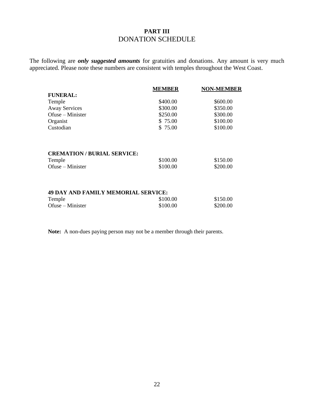# **PART III** DONATION SCHEDULE

The following are *only suggested amounts* for gratuities and donations. Any amount is very much appreciated. Please note these numbers are consistent with temples throughout the West Coast.

|                                    | <b>MEMBER</b> | <b>NON-MEMBER</b> |
|------------------------------------|---------------|-------------------|
| <b>FUNERAL:</b>                    |               |                   |
| Temple                             | \$400.00      | \$600.00          |
| <b>Away Services</b>               | \$300.00      | \$350.00          |
| Ofuse – Minister                   | \$250.00      | \$300.00          |
| Organist                           | \$75.00       | \$100.00          |
| Custodian                          | \$75.00       | \$100.00          |
|                                    |               |                   |
| <b>CREMATION / BURIAL SERVICE:</b> |               |                   |
| Temple                             | \$100.00      | \$150.00          |
| Ofuse – Minister                   | \$100.00      | \$200.00          |
|                                    |               |                   |
|                                    |               |                   |

| <b>49 DAY AND FAMILY MEMORIAL SERVICE:</b> |          |          |  |
|--------------------------------------------|----------|----------|--|
| Temple                                     | \$100.00 | \$150.00 |  |
| Ofuse – Minister                           | \$100.00 | \$200.00 |  |

**Note:** A non-dues paying person may not be a member through their parents.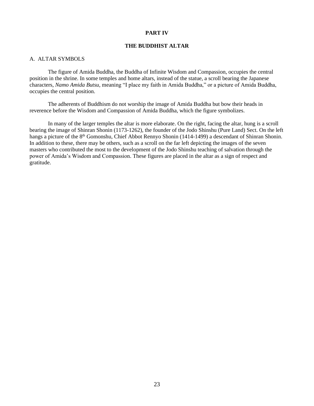#### **PART IV**

#### **THE BUDDHIST ALTAR**

#### A. ALTAR SYMBOLS

The figure of Amida Buddha, the Buddha of Infinite Wisdom and Compassion, occupies the central position in the shrine. In some temples and home altars, instead of the statue, a scroll bearing the Japanese characters, *Namo Amida Butsu,* meaning "I place my faith in Amida Buddha," or a picture of Amida Buddha, occupies the central position.

The adherents of Buddhism do not worship the image of Amida Buddha but bow their heads in reverence before the Wisdom and Compassion of Amida Buddha, which the figure symbolizes.

In many of the larger temples the altar is more elaborate. On the right, facing the altar, hung is a scroll bearing the image of Shinran Shonin (1173-1262), the founder of the Jodo Shinshu (Pure Land) Sect. On the left hangs a picture of the 8<sup>th</sup> Gomonshu, Chief Abbot Rennyo Shonin (1414-1499) a descendant of Shinran Shonin. In addition to these, there may be others, such as a scroll on the far left depicting the images of the seven masters who contributed the most to the development of the Jodo Shinshu teaching of salvation through the power of Amida's Wisdom and Compassion. These figures are placed in the altar as a sign of respect and gratitude.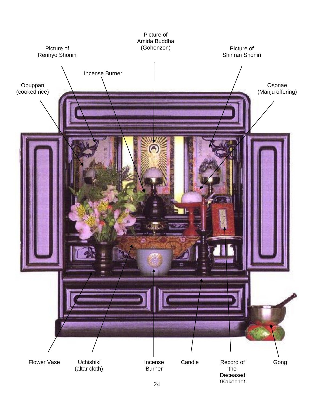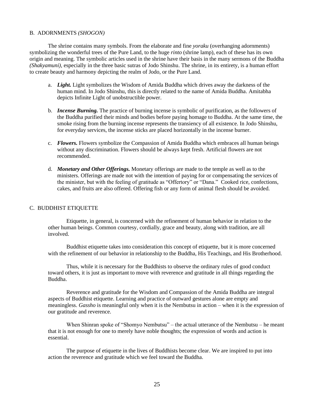#### B. ADORNMENTS *(SHOGON)*

The shrine contains many symbols. From the elaborate and fine *yoraku* (overhanging adornments) symbolizing the wonderful trees of the Pure Land, to the huge *rinto* (shrine lamp), each of these has its own origin and meaning. The symbolic articles used in the shrine have their basis in the many sermons of the Buddha *(Shakyamuni),* especially in the three basic sutras of Jodo Shinshu. The shrine, in its entirety, is a human effort to create beauty and harmony depicting the realm of Jodo, or the Pure Land.

- a. *Light.* Light symbolizes the Wisdom of Amida Buddha which drives away the darkness of the human mind. In Jodo Shinshu, this is directly related to the name of Amida Buddha. Amitabha depicts Infinite Light of unobstructible power.
- b. *Incense Burning.* The practice of burning incense is symbolic of purification, as the followers of the Buddha purified their minds and bodies before paying homage to Buddha. At the same time, the smoke rising from the burning incense represents the transiency of all existence. In Jodo Shinshu, for everyday services, the incense sticks are placed horizontally in the incense burner.
- c. *Flowers.* Flowers symbolize the Compassion of Amida Buddha which embraces all human beings without any discrimination. Flowers should be always kept fresh. Artificial flowers are not recommended.
- d. *Monetary and Other Offerings.* Monetary offerings are made to the temple as well as to the ministers. Offerings are made not with the intention of paying for or compensating the services of the minister, but with the feeling of gratitude as "Offertory" or "Dana." Cooked rice, confections, cakes, and fruits are also offered. Offering fish or any form of animal flesh should be avoided.

#### C. BUDDHIST ETIQUETTE

Etiquette, in general, is concerned with the refinement of human behavior in relation to the other human beings. Common courtesy, cordially, grace and beauty, along with tradition, are all involved.

Buddhist etiquette takes into consideration this concept of etiquette, but it is more concerned with the refinement of our behavior in relationship to the Buddha, His Teachings, and His Brotherhood.

Thus, while it is necessary for the Buddhists to observe the ordinary rules of good conduct toward others, it is just as important to move with reverence and gratitude in all things regarding the Buddha.

Reverence and gratitude for the Wisdom and Compassion of the Amida Buddha are integral aspects of Buddhist etiquette. Learning and practice of outward gestures alone are empty and meaningless. *Gassho* is meaningful only when it is the Nembutsu in action – when it is the expression of our gratitude and reverence.

When Shinran spoke of "Shomyo Nembutsu" – the actual utterance of the Nembutsu – he meant that it is not enough for one to merely have noble thoughts; the expression of words and action is essential.

The purpose of etiquette in the lives of Buddhists become clear. We are inspired to put into action the reverence and gratitude which we feel toward the Buddha.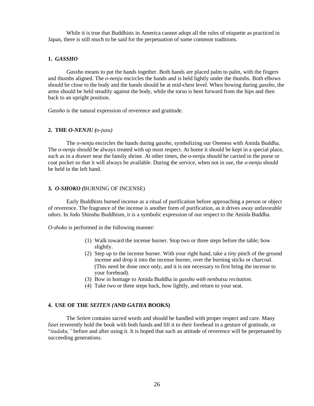While it is true that Buddhists in America cannot adopt all the rules of etiquette as practiced in Japan, there is still much to be said for the perpetuation of some common traditions.

#### **1.** *GASSHO*

*Gassho* means to put the hands together. Both hands are placed palm to palm, with the fingers and thumbs aligned. The *o-nenju* encircles the hands and is held lightly under the thumbs. Both elbows should be close to the body and the hands should be at mid-chest level. When bowing during *gassho,* the arms should be held steadily against the body, while the torso is bent forward from the hips and then back to an upright position.

*Gassho* is the natural expression of reverence and gratitude.

#### **2. THE** *O-NENJU (o-juzu)*

The *o-nenju* encircles the hands during *gassho,* symbolizing our Oneness with Amida Buddha. The *o-nenju* should be always treated with up most respect. At home it should be kept in a special place, such as in a drawer near the family shrine. At other times, the *o-nenju* should be carried in the purse or coat pocket so that it will always be available. During the service, when not in use, the *o-nenju* should be held in the left hand.

#### **3.** *O-SHOKO (*BURNING OF INCENSE)

Early Buddhists burned incense as a ritual of purification before approaching a person or object of reverence. The fragrance of the incense is another form of purification, as it drives away unfavorable odors. In Jodo Shinshu Buddhism, it is a symbolic expression of our respect to the Amida Buddha.

*O-shoko* is performed in the following manner:

- (1) Walk toward the incense burner. Stop two or three steps before the table; bow slightly.
- (2) Step up to the incense burner. With your right hand, take a *tiny* pinch of the ground incense and drop it into the incense burner, over the burning sticks or charcoal. (This need be done once only, and it is not necessary to first bring the incense to your forehead).
- (3) Bow in homage to Amida Buddha in *gassho with nenbutsu recitation.*
- (4) Take two or three steps back, bow lightly, and return to your seat.

#### **4. USE OF THE** *SEITEN (***AND** *GATHA* **BOOKS)**

The *Seiten* contains sacred words and should be handled with proper respect and care. Many *Issei* reverently hold the book with both hands and lift it to their forehead in a gesture of gratitude, or "*itadaku,"* before and after using it. It is hoped that such an attitude of reverence will be perpetuated by succeeding generations.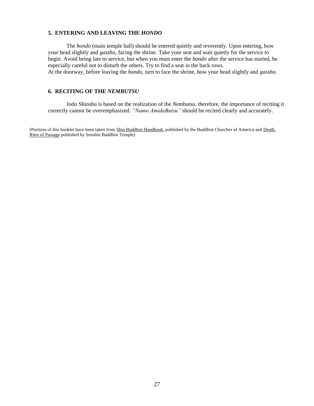#### **5. ENTERING AND LEAVING THE** *HONDO*

The *hondo* (main temple hall) should be entered quietly and reverently. Upon entering, bow your head slightly and *gassho*, facing the shrine. Take your seat and wait quietly for the service to begin. Avoid being late to service, but when you must enter the *hondo* after the service has started, be especially careful not to disturb the others. Try to find a seat in the back rows. At the doorway, before leaving the *hondo,* turn to face the shrine, bow your head slightly and *gassho.*

#### **6. RECITING OF THE** *NEMBUTSU*

Jodo Shinshu is based on the realization of the *Nembutsu,* therefore, the importance of reciting it correctly cannot be overemphasized. *"Namo AmidaButsu"* should be recited clearly and accurately.

(Portions of this booklet have been taken from Shin Buddhist Handbook, published by the Buddhist Churches of America and Death, Rites of Passage published by Senshin Buddhist Temple)